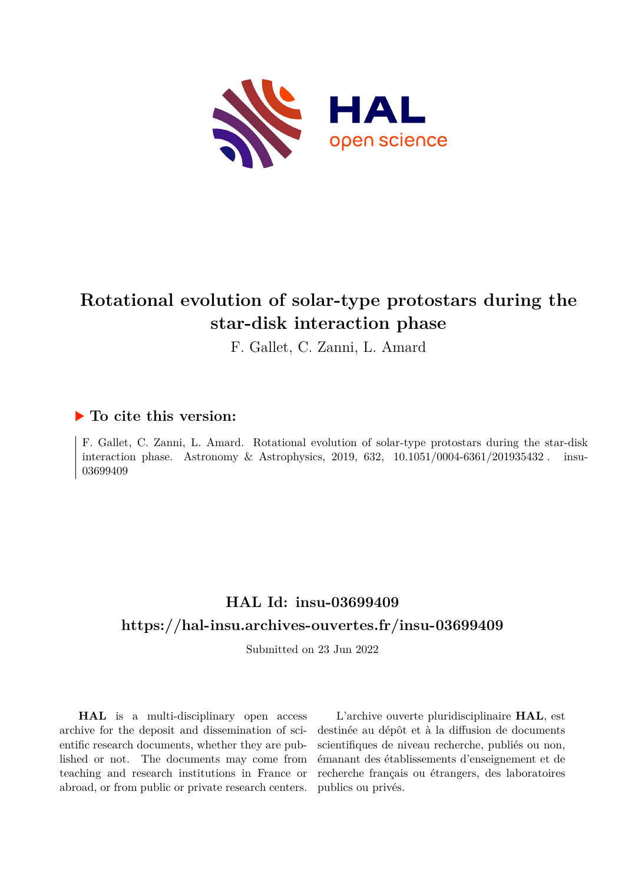

# **Rotational evolution of solar-type protostars during the star-disk interaction phase**

F. Gallet, C. Zanni, L. Amard

# **To cite this version:**

F. Gallet, C. Zanni, L. Amard. Rotational evolution of solar-type protostars during the star-disk interaction phase. Astronomy & Astrophysics, 2019, 632, 10.1051/0004-6361/201935432. insu-03699409ff

# **HAL Id: insu-03699409 <https://hal-insu.archives-ouvertes.fr/insu-03699409>**

Submitted on 23 Jun 2022

**HAL** is a multi-disciplinary open access archive for the deposit and dissemination of scientific research documents, whether they are published or not. The documents may come from teaching and research institutions in France or abroad, or from public or private research centers.

L'archive ouverte pluridisciplinaire **HAL**, est destinée au dépôt et à la diffusion de documents scientifiques de niveau recherche, publiés ou non, émanant des établissements d'enseignement et de recherche français ou étrangers, des laboratoires publics ou privés.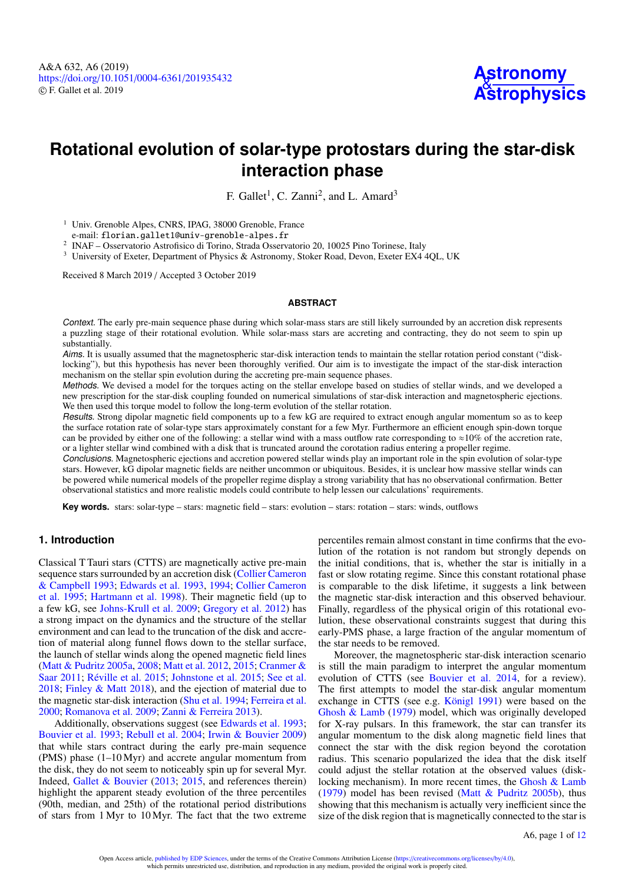

# **Rotational evolution of solar-type protostars during the star-disk interaction phase**

F. Gallet<sup>1</sup>, C. Zanni<sup>2</sup>, and L. Amard<sup>3</sup>

<sup>1</sup> Univ. Grenoble Alpes, CNRS, IPAG, 38000 Grenoble, France

e-mail: florian.gallet1@univ-grenoble-alpes.fr

<sup>2</sup> INAF – Osservatorio Astrofisico di Torino, Strada Osservatorio 20, 10025 Pino Torinese, Italy

<sup>3</sup> University of Exeter, Department of Physics & Astronomy, Stoker Road, Devon, Exeter EX4 4QL, UK

Received 8 March 2019 / Accepted 3 October 2019

#### **ABSTRACT**

Context. The early pre-main sequence phase during which solar-mass stars are still likely surrounded by an accretion disk represents a puzzling stage of their rotational evolution. While solar-mass stars are accreting and contracting, they do not seem to spin up substantially.

Aims. It is usually assumed that the magnetospheric star-disk interaction tends to maintain the stellar rotation period constant ("disklocking"), but this hypothesis has never been thoroughly verified. Our aim is to investigate the impact of the star-disk interaction mechanism on the stellar spin evolution during the accreting pre-main sequence phases.

Methods. We devised a model for the torques acting on the stellar envelope based on studies of stellar winds, and we developed a new prescription for the star-disk coupling founded on numerical simulations of star-disk interaction and magnetospheric ejections. We then used this torque model to follow the long-term evolution of the stellar rotation.

Results. Strong dipolar magnetic field components up to a few kG are required to extract enough angular momentum so as to keep the surface rotation rate of solar-type stars approximately constant for a few Myr. Furthermore an efficient enough spin-down torque can be provided by either one of the following: a stellar wind with a mass outflow rate corresponding to  $\approx 10\%$  of the accretion rate, or a lighter stellar wind combined with a disk that is truncated around the corotation radius entering a propeller regime.

Conclusions. Magnetospheric ejections and accretion powered stellar winds play an important role in the spin evolution of solar-type stars. However, kG dipolar magnetic fields are neither uncommon or ubiquitous. Besides, it is unclear how massive stellar winds can be powered while numerical models of the propeller regime display a strong variability that has no observational confirmation. Better observational statistics and more realistic models could contribute to help lessen our calculations' requirements.

**Key words.** stars: solar-type – stars: magnetic field – stars: evolution – stars: rotation – stars: winds, outflows

# **1. Introduction**

Classical T Tauri stars (CTTS) are magnetically active pre-main sequence stars surrounded by an accretion disk (Collier Cameron & Campbell 1993; Edwards et al. 1993, 1994; Collier Cameron et al. 1995; Hartmann et al. 1998). Their magnetic field (up to a few kG, see Johns-Krull et al. 2009; Gregory et al. 2012) has a strong impact on the dynamics and the structure of the stellar environment and can lead to the truncation of the disk and accretion of material along funnel flows down to the stellar surface, the launch of stellar winds along the opened magnetic field lines (Matt & Pudritz 2005a, 2008; Matt et al. 2012, 2015; Cranmer & Saar 2011; Réville et al. 2015; Johnstone et al. 2015; See et al. 2018; Finley & Matt 2018), and the ejection of material due to the magnetic star-disk interaction (Shu et al. 1994; Ferreira et al. 2000; Romanova et al. 2009; Zanni & Ferreira 2013).

Additionally, observations suggest (see Edwards et al. 1993; Bouvier et al. 1993; Rebull et al. 2004; Irwin & Bouvier 2009) that while stars contract during the early pre-main sequence (PMS) phase (1–10 Myr) and accrete angular momentum from the disk, they do not seem to noticeably spin up for several Myr. Indeed, Gallet & Bouvier (2013; 2015, and references therein) highlight the apparent steady evolution of the three percentiles (90th, median, and 25th) of the rotational period distributions of stars from 1 Myr to 10 Myr. The fact that the two extreme

percentiles remain almost constant in time confirms that the evolution of the rotation is not random but strongly depends on the initial conditions, that is, whether the star is initially in a fast or slow rotating regime. Since this constant rotational phase is comparable to the disk lifetime, it suggests a link between the magnetic star-disk interaction and this observed behaviour. Finally, regardless of the physical origin of this rotational evolution, these observational constraints suggest that during this early-PMS phase, a large fraction of the angular momentum of the star needs to be removed.

Moreover, the magnetospheric star-disk interaction scenario is still the main paradigm to interpret the angular momentum evolution of CTTS (see Bouvier et al. 2014, for a review). The first attempts to model the star-disk angular momentum exchange in CTTS (see e.g. Königl 1991) were based on the Ghosh & Lamb (1979) model, which was originally developed for X-ray pulsars. In this framework, the star can transfer its angular momentum to the disk along magnetic field lines that connect the star with the disk region beyond the corotation radius. This scenario popularized the idea that the disk itself could adjust the stellar rotation at the observed values (disklocking mechanism). In more recent times, the Ghosh & Lamb (1979) model has been revised (Matt & Pudritz 2005b), thus showing that this mechanism is actually very inefficient since the size of the disk region that is magnetically connected to the star is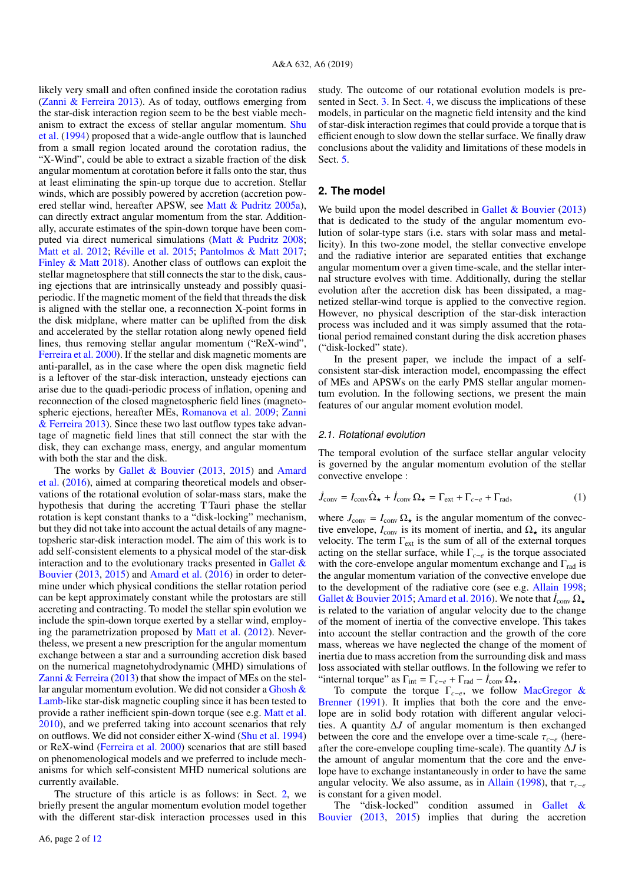likely very small and often confined inside the corotation radius (Zanni & Ferreira 2013). As of today, outflows emerging from the star-disk interaction region seem to be the best viable mechanism to extract the excess of stellar angular momentum. Shu et al. (1994) proposed that a wide-angle outflow that is launched from a small region located around the corotation radius, the "X-Wind", could be able to extract a sizable fraction of the disk angular momentum at corotation before it falls onto the star, thus at least eliminating the spin-up torque due to accretion. Stellar winds, which are possibly powered by accretion (accretion powered stellar wind, hereafter APSW, see Matt & Pudritz 2005a), can directly extract angular momentum from the star. Additionally, accurate estimates of the spin-down torque have been computed via direct numerical simulations (Matt & Pudritz 2008; Matt et al. 2012; Réville et al. 2015; Pantolmos & Matt 2017; Finley & Matt 2018). Another class of outflows can exploit the stellar magnetosphere that still connects the star to the disk, causing ejections that are intrinsically unsteady and possibly quasiperiodic. If the magnetic moment of the field that threads the disk is aligned with the stellar one, a reconnection X-point forms in the disk midplane, where matter can be uplifted from the disk and accelerated by the stellar rotation along newly opened field lines, thus removing stellar angular momentum ("ReX-wind", Ferreira et al. 2000). If the stellar and disk magnetic moments are anti-parallel, as in the case where the open disk magnetic field is a leftover of the star-disk interaction, unsteady ejections can arise due to the quadi-periodic process of inflation, opening and reconnection of the closed magnetospheric field lines (magnetospheric ejections, hereafter MEs, Romanova et al. 2009; Zanni & Ferreira 2013). Since these two last outflow types take advantage of magnetic field lines that still connect the star with the disk, they can exchange mass, energy, and angular momentum with both the star and the disk.

The works by Gallet & Bouvier (2013, 2015) and Amard et al. (2016), aimed at comparing theoretical models and observations of the rotational evolution of solar-mass stars, make the hypothesis that during the accreting T Tauri phase the stellar rotation is kept constant thanks to a "disk-locking" mechanism, but they did not take into account the actual details of any magnetopsheric star-disk interaction model. The aim of this work is to add self-consistent elements to a physical model of the star-disk interaction and to the evolutionary tracks presented in Gallet & Bouvier (2013, 2015) and Amard et al. (2016) in order to determine under which physical conditions the stellar rotation period can be kept approximately constant while the protostars are still accreting and contracting. To model the stellar spin evolution we include the spin-down torque exerted by a stellar wind, employing the parametrization proposed by Matt et al. (2012). Nevertheless, we present a new prescription for the angular momentum exchange between a star and a surrounding accretion disk based on the numerical magnetohydrodynamic (MHD) simulations of Zanni & Ferreira (2013) that show the impact of MEs on the stellar angular momentum evolution. We did not consider a Ghosh & Lamb-like star-disk magnetic coupling since it has been tested to provide a rather inefficient spin-down torque (see e.g. Matt et al. 2010), and we preferred taking into account scenarios that rely on outflows. We did not consider either X-wind (Shu et al. 1994) or ReX-wind (Ferreira et al. 2000) scenarios that are still based on phenomenological models and we preferred to include mechanisms for which self-consistent MHD numerical solutions are currently available.

The structure of this article is as follows: in Sect. 2, we briefly present the angular momentum evolution model together with the different star-disk interaction processes used in this study. The outcome of our rotational evolution models is presented in Sect. 3. In Sect. 4, we discuss the implications of these models, in particular on the magnetic field intensity and the kind of star-disk interaction regimes that could provide a torque that is efficient enough to slow down the stellar surface. We finally draw conclusions about the validity and limitations of these models in Sect. 5.

#### **2. The model**

We build upon the model described in Gallet  $& Bouvier (2013)$ that is dedicated to the study of the angular momentum evolution of solar-type stars (i.e. stars with solar mass and metallicity). In this two-zone model, the stellar convective envelope and the radiative interior are separated entities that exchange angular momentum over a given time-scale, and the stellar internal structure evolves with time. Additionally, during the stellar evolution after the accretion disk has been dissipated, a magnetized stellar-wind torque is applied to the convective region. However, no physical description of the star-disk interaction process was included and it was simply assumed that the rotational period remained constant during the disk accretion phases ("disk-locked" state).

In the present paper, we include the impact of a selfconsistent star-disk interaction model, encompassing the effect of MEs and APSWs on the early PMS stellar angular momentum evolution. In the following sections, we present the main features of our angular moment evolution model.

#### 2.1. Rotational evolution

The temporal evolution of the surface stellar angular velocity is governed by the angular momentum evolution of the stellar convective envelope :

$$
\dot{J}_{\text{conv}} = I_{\text{conv}} \dot{\Omega}_{\star} + \dot{I}_{\text{conv}} \Omega_{\star} = \Gamma_{\text{ext}} + \Gamma_{c-e} + \Gamma_{\text{rad}},\tag{1}
$$

where  $J_{\text{conv}} = I_{\text{conv}} \Omega_{\star}$  is the angular momentum of the convective envelope,  $I_{\text{conv}}$  is its moment of inertia, and  $\Omega_{\star}$  its angular velocity. The term  $\Gamma_{ext}$  is the sum of all of the external torques acting on the stellar surface, while  $\Gamma_{c-e}$  is the torque associated with the core-envelope angular momentum exchange and  $\Gamma_{rad}$  is the angular momentum variation of the convective envelope due to the development of the radiative core (see e.g. Allain 1998; Gallet & Bouvier 2015; Amard et al. 2016). We note that  $\dot{I}_{\text{conv}} \Omega_{\star}$ is related to the variation of angular velocity due to the change of the moment of inertia of the convective envelope. This takes into account the stellar contraction and the growth of the core mass, whereas we have neglected the change of the moment of inertia due to mass accretion from the surrounding disk and mass loss associated with stellar outflows. In the following we refer to "internal torque" as  $\Gamma_{int} = \Gamma_{c-e} + \Gamma_{rad} - \dot{I}_{conv} \Omega_{\star}$ .

To compute the torque Γ*c*−*e*, we follow MacGregor & Brenner (1991). It implies that both the core and the envelope are in solid body rotation with different angular velocities. A quantity ∆*J* of angular momentum is then exchanged between the core and the envelope over a time-scale  $\tau_{c-e}$  (hereafter the core-envelope coupling time-scale). The quantity ∆*J* is the amount of angular momentum that the core and the envelope have to exchange instantaneously in order to have the same angular velocity. We also assume, as in Allain (1998), that  $\tau_{c-e}$ is constant for a given model.

The "disk-locked" condition assumed in Gallet & Bouvier (2013, 2015) implies that during the accretion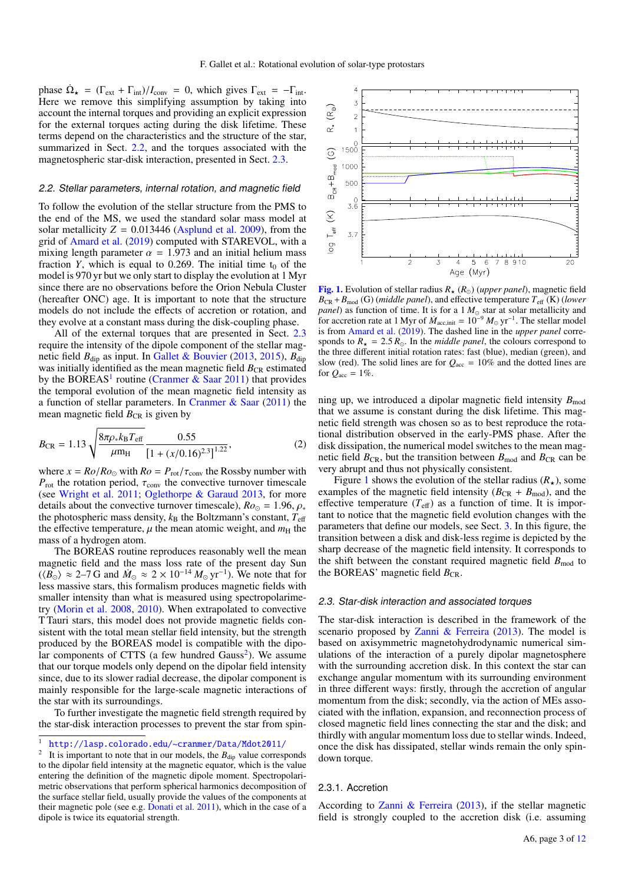phase  $\dot{\Omega}_\star = (\Gamma_{ext} + \Gamma_{int})/I_{conv} = 0$ , which gives  $\Gamma_{ext} = -\Gamma_{int}$ .<br>Here we remove this simplifying assumption by taking into Here we remove this simplifying assumption by taking into account the internal torques and providing an explicit expression for the external torques acting during the disk lifetime. These terms depend on the characteristics and the structure of the star, summarized in Sect. 2.2, and the torques associated with the magnetospheric star-disk interaction, presented in Sect. 2.3.

### 2.2. Stellar parameters, internal rotation, and magnetic field

To follow the evolution of the stellar structure from the PMS to the end of the MS, we used the standard solar mass model at solar metallicity  $Z = 0.013446$  (Asplund et al. 2009), from the grid of Amard et al. (2019) computed with STAREVOL, with a mixing length parameter  $\alpha = 1.973$  and an initial helium mass fraction *Y*, which is equal to 0.269. The initial time  $t_0$  of the model is 970 yr but we only start to display the evolution at 1 Myr since there are no observations before the Orion Nebula Cluster (hereafter ONC) age. It is important to note that the structure models do not include the effects of accretion or rotation, and they evolve at a constant mass during the disk-coupling phase.

All of the external torques that are presented in Sect. 2.3 require the intensity of the dipole component of the stellar magnetic field *B*<sub>dip</sub> as input. In Gallet & Bouvier (2013, 2015), *B*<sub>dip</sub> was initially identified as the mean magnetic field  $B_{CR}$  estimated by the BOREAS<sup>1</sup> routine (Cranmer & Saar 2011) that provides the temporal evolution of the mean magnetic field intensity as a function of stellar parameters. In Cranmer & Saar  $(2011)$  the mean magnetic field  $B_{CR}$  is given by

$$
B_{\rm CR} = 1.13 \sqrt{\frac{8\pi \rho_* k_{\rm B} T_{\rm eff}}{\mu m_{\rm H}}} \frac{0.55}{\left[1 + (x/0.16)^{2.3}\right]^{1.22}},\tag{2}
$$

where  $x = Ro/Ro_{\odot}$  with  $Ro = P_{\text{rot}}/\tau_{\text{conv}}$  the Rossby number with  $P_{\text{ext}}$  the rotation period  $\tau_{\text{conv}}$  the convective turnover timescale  $P_{\text{rot}}$  the rotation period,  $\tau_{\text{conv}}$  the convective turnover timescale (see Wright et al. 2011; Oglethorpe & Garaud 2013, for more details about the convective turnover timescale),  $Ro_{\odot} = 1.96$ ,  $\rho_*$ the photospheric mass density,  $k_B$  the Boltzmann's constant,  $T_{\text{eff}}$ the effective temperature,  $\mu$  the mean atomic weight, and  $m_H$  the mass of a hydrogen atom.

The BOREAS routine reproduces reasonably well the mean magnetic field and the mass loss rate of the present day Sun  $(\langle B_{\odot} \rangle \approx 2$ –7 G and  $\dot{M}_{\odot} \approx 2 \times 10^{-14} M_{\odot} \text{ yr}^{-1}$ ). We note that for less massive stars, this formalism produces magnetic fields with smaller intensity than what is measured using spectropolarimetry (Morin et al. 2008, 2010). When extrapolated to convective T Tauri stars, this model does not provide magnetic fields consistent with the total mean stellar field intensity, but the strength produced by the BOREAS model is compatible with the dipolar components of CTTS (a few hundred Gauss<sup>2</sup>). We assume that our torque models only depend on the dipolar field intensity since, due to its slower radial decrease, the dipolar component is mainly responsible for the large-scale magnetic interactions of the star with its surroundings.

To further investigate the magnetic field strength required by the star-disk interaction processes to prevent the star from spin-



**[Fig. 1.](https://dexter.edpsciences.org/applet.php?DOI=10.1051/0004-6361/201935432&pdf_id=1)** Evolution of stellar radius  $R_{\star}$  ( $R_{\odot}$ ) (*upper panel*), magnetic field  $B_{CR} + B_{mod}$  (G) (*middle panel*), and effective temperature  $T_{eff}$  (K) (*lower panel*) as function of time. It is for a  $1 M_{\odot}$  star at solar metallicity and for accretion rate at 1 Myr of  $\dot{M}_{\text{acc,init}} = 10^{-9} M_{\odot} \text{ yr}^{-1}$ . The stellar model<br>is from American 1.0010). The doched line in the unner nangleoreal is from Amard et al. (2019). The dashed line in the *upper panel* corresponds to  $R_{\star} = 2.5 R_{\odot}$ . In the *middle panel*, the colours correspond to the three different initial rotation rates: fast (blue), median (green), and slow (red). The solid lines are for  $Q_{\text{acc}} = 10\%$  and the dotted lines are for  $Q_{\text{acc}} = 1\%$ .

ning up, we introduced a dipolar magnetic field intensity  $B_{\text{mod}}$ that we assume is constant during the disk lifetime. This magnetic field strength was chosen so as to best reproduce the rotational distribution observed in the early-PMS phase. After the disk dissipation, the numerical model switches to the mean magnetic field  $B_{CR}$ , but the transition between  $B_{mod}$  and  $B_{CR}$  can be very abrupt and thus not physically consistent.

Figure 1 shows the evolution of the stellar radius  $(R_{\star})$ , some examples of the magnetic field intensity  $(B_{CR} + B_{mod})$ , and the effective temperature  $(T_{\text{eff}})$  as a function of time. It is important to notice that the magnetic field evolution changes with the parameters that define our models, see Sect. 3. In this figure, the transition between a disk and disk-less regime is depicted by the sharp decrease of the magnetic field intensity. It corresponds to the shift between the constant required magnetic field *B*<sub>mod</sub> to the BOREAS' magnetic field  $B_{CR}$ .

# 2.3. Star-disk interaction and associated torques

The star-disk interaction is described in the framework of the scenario proposed by Zanni & Ferreira (2013). The model is based on axisymmetric magnetohydrodynamic numerical simulations of the interaction of a purely dipolar magnetosphere with the surrounding accretion disk. In this context the star can exchange angular momentum with its surrounding environment in three different ways: firstly, through the accretion of angular momentum from the disk; secondly, via the action of MEs associated with the inflation, expansion, and reconnection process of closed magnetic field lines connecting the star and the disk; and thirdly with angular momentum loss due to stellar winds. Indeed, once the disk has dissipated, stellar winds remain the only spindown torque.

#### 2.3.1. Accretion

According to Zanni & Ferreira (2013), if the stellar magnetic field is strongly coupled to the accretion disk (i.e. assuming

<sup>1</sup> <http://lasp.colorado.edu/~cranmer/Data/Mdot2011/>

<sup>2</sup> It is important to note that in our models, the  $B_{\text{dip}}$  value corresponds to the dipolar field intensity at the magnetic equator, which is the value entering the definition of the magnetic dipole moment. Spectropolarimetric observations that perform spherical harmonics decomposition of the surface stellar field, usually provide the values of the components at their magnetic pole (see e.g. Donati et al. 2011), which in the case of a dipole is twice its equatorial strength.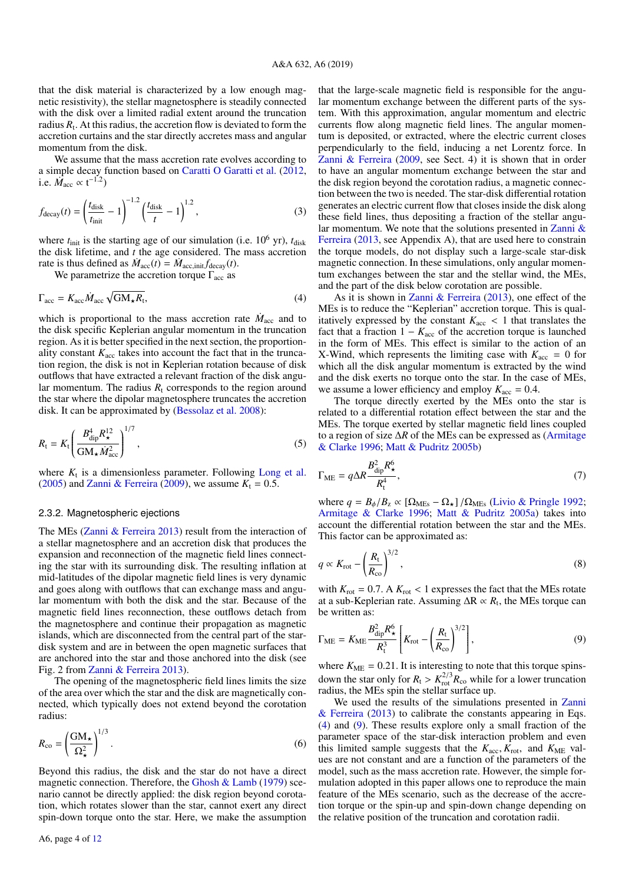that the disk material is characterized by a low enough magnetic resistivity), the stellar magnetosphere is steadily connected with the disk over a limited radial extent around the truncation radius *R*<sup>t</sup> . At this radius, the accretion flow is deviated to form the accretion curtains and the star directly accretes mass and angular momentum from the disk.

We assume that the mass accretion rate evolves according to a simple decay function based on Caratti O Garatti et al. (2012, i.e.  $\dot{M}_{\text{acc}} \propto t^{-1.2}$ 

$$
f_{\text{decay}}(t) = \left(\frac{t_{\text{disk}}}{t_{\text{init}}} - 1\right)^{-1.2} \left(\frac{t_{\text{disk}}}{t} - 1\right)^{1.2},\tag{3}
$$

where  $t_{\text{init}}$  is the starting age of our simulation (i.e.  $10^6$  yr),  $t_{\text{disk}}$ the disk lifetime, and *t* the age considered. The mass accretion rate is thus defined as  $\dot{M}_{\text{acc}}(t) = \dot{M}_{\text{acc,init}} f_{\text{decay}}(t)$ .<br>We parametrize the accretion torque  $\Gamma$ 

We parametrize the accretion torque  $\Gamma_{\text{acc}}$  as

$$
\Gamma_{\text{acc}} = K_{\text{acc}} \dot{M}_{\text{acc}} \sqrt{\text{GM}_{\star} R_{\text{t}}},\tag{4}
$$

which is proportional to the mass accretion rate  $\dot{M}_{\text{acc}}$  and to the disk specific Keplerian angular momentum in the truncation region. As it is better specified in the next section, the proportionality constant  $K_{\text{acc}}$  takes into account the fact that in the truncation region, the disk is not in Keplerian rotation because of disk outflows that have extracted a relevant fraction of the disk angular momentum. The radius  $R_t$  corresponds to the region around the star where the dipolar magnetosphere truncates the accretion disk. It can be approximated by (Bessolaz et al. 2008):

$$
R_{\rm t} = K_{\rm t} \left( \frac{B_{\rm dip}^4 R_{\star}^{12}}{\text{GM}_{\star} \dot{M}_{\rm acc}^2} \right)^{1/7},\tag{5}
$$

where  $K_t$  is a dimensionless parameter. Following Long et al. (2005) and Zanni & Ferreira (2009), we assume  $K_t = 0.5$ .

# 2.3.2. Magnetospheric ejections

The MEs (Zanni & Ferreira 2013) result from the interaction of a stellar magnetosphere and an accretion disk that produces the expansion and reconnection of the magnetic field lines connecting the star with its surrounding disk. The resulting inflation at mid-latitudes of the dipolar magnetic field lines is very dynamic and goes along with outflows that can exchange mass and angular momentum with both the disk and the star. Because of the magnetic field lines reconnection, these outflows detach from the magnetosphere and continue their propagation as magnetic islands, which are disconnected from the central part of the stardisk system and are in between the open magnetic surfaces that are anchored into the star and those anchored into the disk (see Fig. 2 from Zanni & Ferreira 2013).

The opening of the magnetospheric field lines limits the size of the area over which the star and the disk are magnetically connected, which typically does not extend beyond the corotation radius:

$$
R_{\rm co} = \left(\frac{GM_{\star}}{\Omega_{\star}^2}\right)^{1/3}.\tag{6}
$$

Beyond this radius, the disk and the star do not have a direct magnetic connection. Therefore, the Ghosh & Lamb (1979) scenario cannot be directly applied: the disk region beyond corotation, which rotates slower than the star, cannot exert any direct spin-down torque onto the star. Here, we make the assumption

that the large-scale magnetic field is responsible for the angular momentum exchange between the different parts of the system. With this approximation, angular momentum and electric currents flow along magnetic field lines. The angular momentum is deposited, or extracted, where the electric current closes perpendicularly to the field, inducing a net Lorentz force. In Zanni & Ferreira (2009, see Sect. 4) it is shown that in order to have an angular momentum exchange between the star and the disk region beyond the corotation radius, a magnetic connection between the two is needed. The star-disk differential rotation generates an electric current flow that closes inside the disk along these field lines, thus depositing a fraction of the stellar angular momentum. We note that the solutions presented in  $Zanni$  & Ferreira (2013, see Appendix A), that are used here to constrain the torque models, do not display such a large-scale star-disk magnetic connection. In these simulations, only angular momentum exchanges between the star and the stellar wind, the MEs, and the part of the disk below corotation are possible.

As it is shown in Zanni & Ferreira (2013), one effect of the MEs is to reduce the "Keplerian" accretion torque. This is qualitatively expressed by the constant  $K_{\text{acc}} < 1$  that translates the fact that a fraction  $1 - K<sub>acc</sub>$  of the accretion torque is launched in the form of MEs. This effect is similar to the action of an X-Wind, which represents the limiting case with  $K_{\text{acc}} = 0$  for which all the disk angular momentum is extracted by the wind and the disk exerts no torque onto the star. In the case of MEs, we assume a lower efficiency and employ  $K_{\text{acc}} = 0.4$ .

The torque directly exerted by the MEs onto the star is related to a differential rotation effect between the star and the MEs. The torque exerted by stellar magnetic field lines coupled to a region of size ∆*R* of the MEs can be expressed as (Armitage & Clarke 1996; Matt & Pudritz 2005b)

$$
\Gamma_{\rm ME} = q \Delta R \frac{B_{\rm dip}^2 R_{\star}^6}{R_{\rm t}^4},\tag{7}
$$

where  $q = B_{\phi}/B_{z} \propto [\Omega_{\text{MEs}} - \Omega_{\star}] / \Omega_{\text{MEs}}$  (Livio & Pringle 1992; Armitage & Clarke 1996; Matt & Pudritz 2005a) takes into account the differential rotation between the star and the MEs. This factor can be approximated as:

$$
q \propto K_{\rm rot} - \left(\frac{R_{\rm t}}{R_{\rm co}}\right)^{3/2},\tag{8}
$$

with  $K_{\text{rot}} = 0.7$ . A  $K_{\text{rot}} < 1$  expresses the fact that the MEs rotate at a sub-Keplerian rate. Assuming  $\Delta R \propto R_t$ , the MEs torque can be written as:

$$
\Gamma_{\rm ME} = K_{\rm ME} \frac{B_{\rm dip}^2 R_{\star}^6}{R_{\rm t}^3} \left[ K_{\rm rot} - \left( \frac{R_{\rm t}}{R_{\rm co}} \right)^{3/2} \right],\tag{9}
$$

where  $K_{ME} = 0.21$ . It is interesting to note that this torque spinsdown the star only for  $R_t > K_{rot}^{2/3} R_{\text{co}}$  while for a lower truncation radius the MEs spin the stellar surface up radius, the MEs spin the stellar surface up.

We used the results of the simulations presented in Zanni  $\&$  Ferreira (2013) to calibrate the constants appearing in Eqs. (4) and (9). These results explore only a small fraction of the parameter space of the star-disk interaction problem and even this limited sample suggests that the  $K_{\text{acc}}$ ,  $K_{\text{rot}}$ , and  $K_{\text{ME}}$  values are not constant and are a function of the parameters of the model, such as the mass accretion rate. However, the simple formulation adopted in this paper allows one to reproduce the main feature of the MEs scenario, such as the decrease of the accretion torque or the spin-up and spin-down change depending on the relative position of the truncation and corotation radii.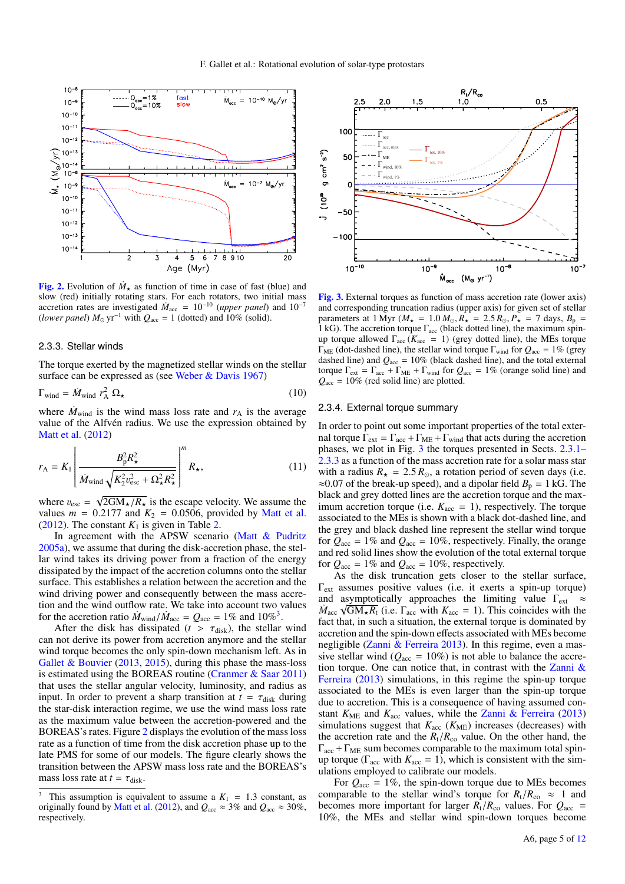

**[Fig. 2.](https://dexter.edpsciences.org/applet.php?DOI=10.1051/0004-6361/201935432&pdf_id=2)** Evolution of  $\dot{M}_\star$  as function of time in case of fast (blue) and slow (red) initially retating stars. For each retators, two initial mass slow (red) initially rotating stars. For each rotators, two initial mass accretion rates are investigated  $\dot{M}_{\text{acc}} = 10^{-10}$  (*upper panel*) and  $10^{-7}$ (*lower panel*)  $M_{\odot}$  yr<sup>-1</sup> with  $Q_{\text{acc}} = 1$  (dotted) and 10% (solid).

#### 2.3.3. Stellar winds

The torque exerted by the magnetized stellar winds on the stellar surface can be expressed as (see Weber & Davis 1967)

$$
\Gamma_{\text{wind}} = \dot{M}_{\text{wind}} r_{\text{A}}^2 \, \Omega_{\star} \tag{10}
$$

where  $\dot{M}_{wind}$  is the wind mass loss rate and  $r_A$  is the average value of the Alfvén radius. We use the expression obtained by Matt et al. (2012)

$$
r_{\rm A} = K_1 \left[ \frac{B_{\rm p}^2 R_{\star}^2}{\dot{M}_{\rm wind} \sqrt{K_2^2 v_{\rm esc}^2 + \Omega_{\star}^2 R_{\star}^2}} \right]^m R_{\star},
$$
\n(11)

where  $v_{\text{esc}} =$ <br>values  $m =$  $2GM_{\star}/R_{\star}$  is the escape velocity. We assume the 2177 and  $K_2 = 0.0506$  provided by Matt et al. values  $m = 0.2177$  and  $K_2 = 0.0506$ , provided by Matt et al. (2012). The constant  $K_1$  is given in Table 2.

In agreement with the APSW scenario (Matt & Pudritz 2005a), we assume that during the disk-accretion phase, the stellar wind takes its driving power from a fraction of the energy dissipated by the impact of the accretion columns onto the stellar surface. This establishes a relation between the accretion and the wind driving power and consequently between the mass accretion and the wind outflow rate. We take into account two values for the accretion ratio  $\dot{M}_{wind}/\dot{M}_{acc} = Q_{acc} = 1\%$  and  $10\%$ <sup>3</sup>.<br>After the disk has dissinated  $(t > \tau_{disk})$  the stellar

After the disk has dissipated  $(t > \tau_{disk})$ , the stellar wind can not derive its power from accretion anymore and the stellar wind torque becomes the only spin-down mechanism left. As in Gallet & Bouvier (2013, 2015), during this phase the mass-loss is estimated using the BOREAS routine (Cranmer & Saar 2011) that uses the stellar angular velocity, luminosity, and radius as input. In order to prevent a sharp transition at  $t = \tau_{disk}$  during the star-disk interaction regime, we use the wind mass loss rate as the maximum value between the accretion-powered and the BOREAS's rates. Figure 2 displays the evolution of the mass loss rate as a function of time from the disk accretion phase up to the late PMS for some of our models. The figure clearly shows the transition between the APSW mass loss rate and the BOREAS's mass loss rate at  $t = \tau_{disk}$ .



[Fig. 3.](https://dexter.edpsciences.org/applet.php?DOI=10.1051/0004-6361/201935432&pdf_id=3) External torques as function of mass accretion rate (lower axis) and corresponding truncation radius (upper axis) for given set of stellar parameters at 1 Myr ( $M_{\star} = 1.0 M_{\odot}$ ,  $R_{\star} = 2.5 R_{\odot}$ ,  $P_{\star} = 7$  days,  $B_{p} =$ 1 kG). The accretion torque  $\Gamma_{\text{acc}}$  (black dotted line), the maximum spinup torque allowed  $\Gamma_{\text{acc}}$  ( $K_{\text{acc}} = 1$ ) (grey dotted line), the MEs torque Γ<sub>ME</sub> (dot-dashed line), the stellar wind torque Γ<sub>wind</sub> for  $Q_{\text{acc}} = 1\%$  (grey dashed line) and  $Q_{\text{acc}} = 10\%$  (black dashed line), and the total external torque  $\Gamma_{ext} = \Gamma_{acc} + \Gamma_{ME} + \Gamma_{wind}$  for  $Q_{acc} = 1\%$  (orange solid line) and  $Q_{\text{acc}} = 10\%$  (red solid line) are plotted.

#### 2.3.4. External torque summary

In order to point out some important properties of the total external torque  $\Gamma_{ext} = \Gamma_{acc} + \Gamma_{ME} + \Gamma_{wind}$  that acts during the accretion phases, we plot in Fig. 3 the torques presented in Sects. 2.3.1– 2.3.3 as a function of the mass accretion rate for a solar mass star with a radius  $R_{\star} = 2.5 R_{\odot}$ , a rotation period of seven days (i.e.  $\approx$ 0.07 of the break-up speed), and a dipolar field  $B_p = 1$  kG. The black and grey dotted lines are the accretion torque and the maximum accretion torque (i.e.  $K_{\text{acc}} = 1$ ), respectively. The torque associated to the MEs is shown with a black dot-dashed line, and the grey and black dashed line represent the stellar wind torque for  $Q_{\text{acc}} = 1\%$  and  $Q_{\text{acc}} = 10\%$ , respectively. Finally, the orange and red solid lines show the evolution of the total external torque for  $Q_{\text{acc}} = 1\%$  and  $Q_{\text{acc}} = 10\%$ , respectively.

As the disk truncation gets closer to the stellar surface, Γext assumes positive values (i.e. it exerts a spin-up torque) and asymptotically approaches the limiting value  $\Gamma_{ext} \approx$ and asymptotically approaches the limiting value  $I_{ext} \approx M_{acc} \sqrt{GM_{\star}R_t}$  (i.e.  $\Gamma_{acc}$  with  $K_{acc} = 1$ ). This coincides with the fact that in such a situation the external torque is dominated by fact that, in such a situation, the external torque is dominated by accretion and the spin-down effects associated with MEs become negligible (Zanni & Ferreira 2013). In this regime, even a massive stellar wind ( $Q_{\text{acc}} = 10\%$ ) is not able to balance the accretion torque. One can notice that, in contrast with the Zanni  $\&$ Ferreira (2013) simulations, in this regime the spin-up torque associated to the MEs is even larger than the spin-up torque due to accretion. This is a consequence of having assumed constant  $K_{ME}$  and  $K_{acc}$  values, while the Zanni & Ferreira (2013) simulations suggest that  $K_{\text{acc}}$  ( $K_{\text{ME}}$ ) increases (decreases) with the accretion rate and the  $R_t/R_{co}$  value. On the other hand, the  $\Gamma_{\text{acc}}$  +  $\Gamma_{\text{ME}}$  sum becomes comparable to the maximum total spinup torque ( $\Gamma_{\text{acc}}$  with  $K_{\text{acc}} = 1$ ), which is consistent with the simulations employed to calibrate our models.

For  $Q_{\text{acc}} = 1\%$ , the spin-down torque due to MEs becomes comparable to the stellar wind's torque for  $R_t/R_{\text{co}} \approx 1$  and becomes more important for larger  $R_t/R_{\text{co}}$  values. For  $Q_{\text{acc}}$  = 10%, the MEs and stellar wind spin-down torques become

<sup>&</sup>lt;sup>3</sup> This assumption is equivalent to assume a  $K_1 = 1.3$  constant, as originally found by Matt et al. (2012), and  $Q_{\text{acc}} \approx 3\%$  and  $Q_{\text{acc}} \approx 30\%$ , respectively.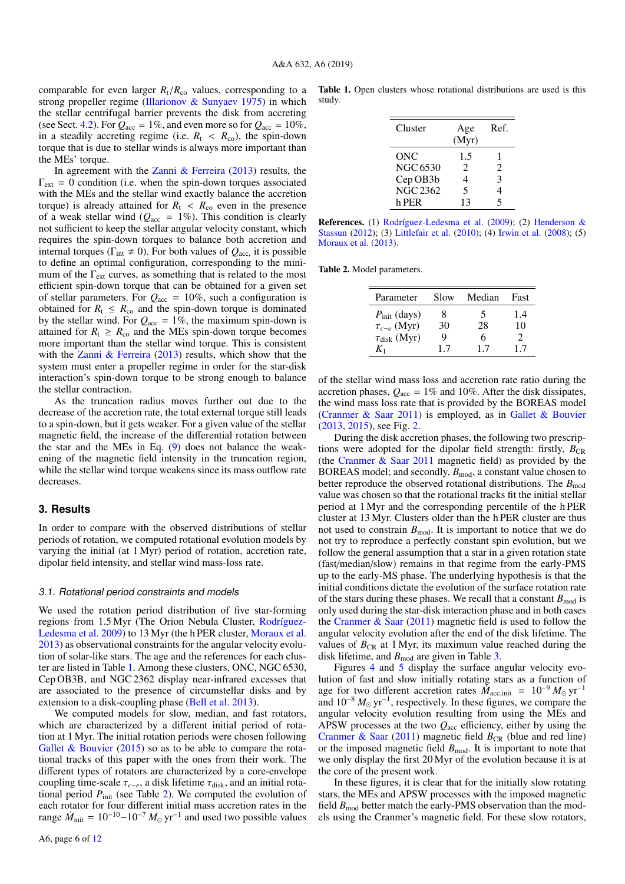comparable for even larger  $R_t/R_{\text{co}}$  values, corresponding to a strong propeller regime (Illarionov & Sunyaev 1975) in which the stellar centrifugal barrier prevents the disk from accreting (see Sect. 4.2). For  $Q_{\text{acc}} = 1\%$ , and even more so for  $Q_{\text{acc}} = 10\%$ , in a steadily accreting regime (i.e.  $R_t < R_{\rm co}$ ), the spin-down torque that is due to stellar winds is always more important than the MEs' torque.

In agreement with the Zanni & Ferreira (2013) results, the  $\Gamma_{\text{ext}} = 0$  condition (i.e. when the spin-down torques associated with the MEs and the stellar wind exactly balance the accretion torque) is already attained for  $R_t < R_{\rm co}$  even in the presence of a weak stellar wind ( $Q_{\text{acc}} = 1\%$ ). This condition is clearly not sufficient to keep the stellar angular velocity constant, which requires the spin-down torques to balance both accretion and internal torques ( $\Gamma_{int} \neq 0$ ). For both values of  $Q_{acc}$ , it is possible to define an optimal configuration, corresponding to the minito define an optimal configuration, corresponding to the minimum of the  $\Gamma_{ext}$  curves, as something that is related to the most efficient spin-down torque that can be obtained for a given set of stellar parameters. For  $Q_{\text{acc}} = 10\%$ , such a configuration is obtained for  $R_t \leq R_{\text{co}}$  and the spin-down torque is dominated by the stellar wind. For  $Q_{\text{acc}} = 1\%$ , the maximum spin-down is attained for  $R_t \geq R_{\rm co}$  and the MEs spin-down torque becomes more important than the stellar wind torque. This is consistent with the Zanni  $\&$  Ferreira (2013) results, which show that the system must enter a propeller regime in order for the star-disk interaction's spin-down torque to be strong enough to balance the stellar contraction.

As the truncation radius moves further out due to the decrease of the accretion rate, the total external torque still leads to a spin-down, but it gets weaker. For a given value of the stellar magnetic field, the increase of the differential rotation between the star and the MEs in Eq. (9) does not balance the weakening of the magnetic field intensity in the truncation region, while the stellar wind torque weakens since its mass outflow rate decreases.

# **3. Results**

In order to compare with the observed distributions of stellar periods of rotation, we computed rotational evolution models by varying the initial (at 1 Myr) period of rotation, accretion rate, dipolar field intensity, and stellar wind mass-loss rate.

#### 3.1. Rotational period constraints and models

We used the rotation period distribution of five star-forming regions from 1.5 Myr (The Orion Nebula Cluster, Rodríguez-Ledesma et al. 2009) to 13 Myr (the h PER cluster, Moraux et al. 2013) as observational constraints for the angular velocity evolution of solar-like stars. The age and the references for each cluster are listed in Table 1. Among these clusters, ONC, NGC 6530, Cep OB3B, and NGC 2362 display near-infrared excesses that are associated to the presence of circumstellar disks and by extension to a disk-coupling phase (Bell et al. 2013).

We computed models for slow, median, and fast rotators, which are characterized by a different initial period of rotation at 1 Myr. The initial rotation periods were chosen following Gallet & Bouvier (2015) so as to be able to compare the rotational tracks of this paper with the ones from their work. The different types of rotators are characterized by a core-envelope coupling time-scale  $\tau_{c-e}$ , a disk lifetime  $\tau_{disk}$ , and an initial rotational period  $P_{\text{init}}$  (see Table 2). We computed the evolution of each rotator for four different initial mass accretion rates in the range  $\dot{M}_{\text{init}} = 10^{-10} - 10^{-7} M_{\odot} \text{ yr}^{-1}$  and used two possible values

Table 1. Open clusters whose rotational distributions are used is this study.

| Cluster         | Age<br>(Myr)                | Ref. |
|-----------------|-----------------------------|------|
| ONC             | 1.5                         |      |
| NGC 6530        | $\mathcal{D}_{\mathcal{L}}$ | 2    |
| Cep OB3b        | 4                           | 3    |
| <b>NGC 2362</b> | 5                           | 4    |
| h PER           | 13                          | 5    |

References. (1) Rodríguez-Ledesma et al. (2009); (2) Henderson & Stassun (2012); (3) Littlefair et al. (2010); (4) Irwin et al. (2008); (5) Moraux et al. (2013).

Table 2. Model parameters.

| Parameter                | Slow | Median | Fast                  |
|--------------------------|------|--------|-----------------------|
| $P_{\text{init}}$ (days) | x    | 5      | 1.4                   |
| $\tau_{c-e}$ (Myr)       | 30   | 28     | 10                    |
| $\tau_{disk}$ (Myr)      | 9    | 6      | $\mathcal{D}_{\cdot}$ |
| $K_1$                    | 17   | 17     | 17                    |

of the stellar wind mass loss and accretion rate ratio during the accretion phases,  $Q_{\text{acc}} = 1\%$  and 10%. After the disk dissipates, the wind mass loss rate that is provided by the BOREAS model (Cranmer & Saar 2011) is employed, as in Gallet & Bouvier (2013, 2015), see Fig. 2.

During the disk accretion phases, the following two prescriptions were adopted for the dipolar field strength: firstly,  $B_{CR}$ (the Cranmer & Saar 2011 magnetic field) as provided by the BOREAS model; and secondly,  $B_{\text{mod}}$ , a constant value chosen to better reproduce the observed rotational distributions. The  $B_{\text{mod}}$ value was chosen so that the rotational tracks fit the initial stellar period at 1 Myr and the corresponding percentile of the h PER cluster at 13 Myr. Clusters older than the h PER cluster are thus not used to constrain  $B_{\text{mod}}$ . It is important to notice that we do not try to reproduce a perfectly constant spin evolution, but we follow the general assumption that a star in a given rotation state (fast/median/slow) remains in that regime from the early-PMS up to the early-MS phase. The underlying hypothesis is that the initial conditions dictate the evolution of the surface rotation rate of the stars during these phases. We recall that a constant  $B_{\text{mod}}$  is only used during the star-disk interaction phase and in both cases the Cranmer & Saar  $(2011)$  magnetic field is used to follow the angular velocity evolution after the end of the disk lifetime. The values of  $B_{CR}$  at 1 Myr, its maximum value reached during the disk lifetime, and  $B_{\text{mod}}$  are given in Table 3.

Figures 4 and 5 display the surface angular velocity evolution of fast and slow initially rotating stars as a function of age for two different accretion rates  $\dot{M}_{\text{acc,init}} = 10^{-9} M_{\odot} \text{ yr}^{-1}$ <br>and  $10^{-8} M_{\text{c}} \text{ yr}^{-1}$  respectively In these figures, we compare the and  $10^{-8} M_{\odot} \text{ yr}^{-1}$ , respectively. In these figures, we compare the angular velocity evolution resulting from using the MEs and APSW processes at the two  $Q_{\text{acc}}$  efficiency, either by using the Cranmer & Saar (2011) magnetic field  $B_{CR}$  (blue and red line) or the imposed magnetic field  $B_{\text{mod}}$ . It is important to note that we only display the first 20 Myr of the evolution because it is at the core of the present work.

In these figures, it is clear that for the initially slow rotating stars, the MEs and APSW processes with the imposed magnetic field  $B_{\text{mod}}$  better match the early-PMS observation than the models using the Cranmer's magnetic field. For these slow rotators,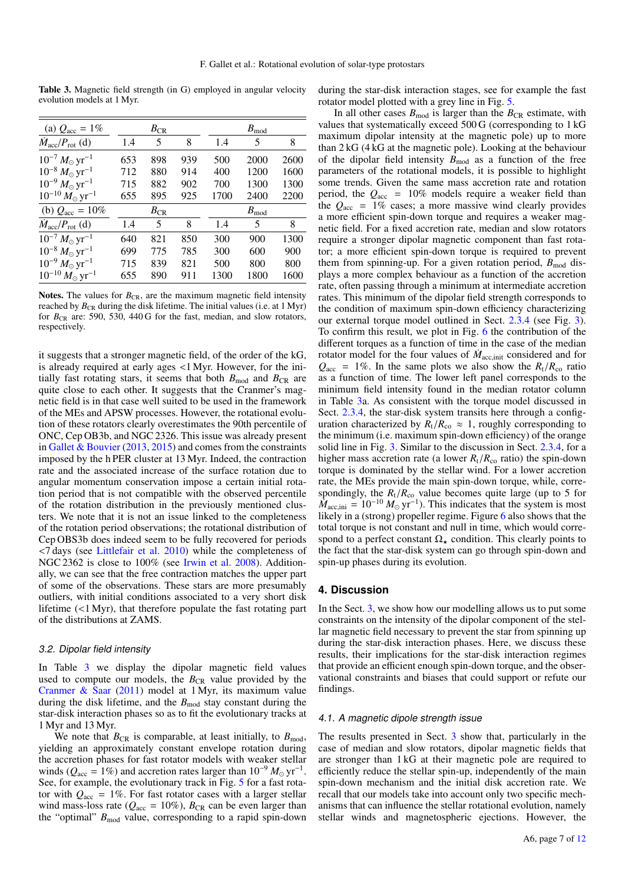Table 3. Magnetic field strength (in G) employed in angular velocity evolution models at 1 Myr.

| (a) $Q_{\text{acc}} = 1\%$           | $B_{CR}$ |              |     | $B_{\text{mod}}$ |                  |      |
|--------------------------------------|----------|--------------|-----|------------------|------------------|------|
| $M_{\rm acc}/P_{\rm rot}$ (d)        | 1.4      | 5            | 8   | 1.4              | 5                | 8    |
| $10^{-7} M_{\odot} \text{ yr}^{-1}$  | 653      | 898          | 939 | 500              | 2000             | 2600 |
| $10^{-8} M_{\odot} \text{ yr}^{-1}$  | 712      | 880          | 914 | 400              | 1200             | 1600 |
| $10^{-9} M_{\odot} \,\rm yr^{-1}$    | 715      | 882          | 902 | 700              | 1300             | 1300 |
| $10^{-10} M_{\odot} \text{ yr}^{-1}$ | 655      | 895          | 925 | 1700             | 2400             | 2200 |
| (b) $Q_{\text{acc}} = 10\%$          |          | $B_{\rm CR}$ |     |                  | $B_{\text{mod}}$ |      |
| $\dot{M}_{\rm acc}/P_{\rm rot}$ (d)  | 1.4      | 5            | 8   | 1.4              | 5                | 8    |
| $10^{-7} M_{\odot} \text{ yr}^{-1}$  | 640      | 821          | 850 | 300              | 900              | 1300 |
| $10^{-8} M_{\odot} \,\rm yr^{-1}$    | 699      | 775          | 785 | 300              | 600              | 900  |
| $10^{-9} M_{\odot} \,\rm yr^{-1}$    | 715      | 839          | 821 | 500              | 800              | 800  |
| $10^{-10} M_{\odot} \text{ yr}^{-1}$ | 655      | 890          | 911 | 1300             | 1800             | 1600 |

Notes. The values for  $B_{CR}$ , are the maximum magnetic field intensity reached by  $B_{CR}$  during the disk lifetime. The initial values (i.e. at 1 Myr) for  $B_{CR}$  are: 590, 530, 440 G for the fast, median, and slow rotators, respectively.

it suggests that a stronger magnetic field, of the order of the kG, is already required at early ages <1 Myr. However, for the initially fast rotating stars, it seems that both  $B_{\text{mod}}$  and  $B_{\text{CR}}$  are quite close to each other. It suggests that the Cranmer's magnetic field is in that case well suited to be used in the framework of the MEs and APSW processes. However, the rotational evolution of these rotators clearly overestimates the 90th percentile of ONC, Cep OB3b, and NGC 2326. This issue was already present in Gallet & Bouvier (2013, 2015) and comes from the constraints imposed by the h PER cluster at 13 Myr. Indeed, the contraction rate and the associated increase of the surface rotation due to angular momentum conservation impose a certain initial rotation period that is not compatible with the observed percentile of the rotation distribution in the previously mentioned clusters. We note that it is not an issue linked to the completeness of the rotation period observations; the rotational distribution of Cep OBS3b does indeed seem to be fully recovered for periods <7 days (see Littlefair et al. 2010) while the completeness of NGC 2362 is close to 100% (see Irwin et al. 2008). Additionally, we can see that the free contraction matches the upper part of some of the observations. These stars are more presumably outliers, with initial conditions associated to a very short disk lifetime (<1 Myr), that therefore populate the fast rotating part of the distributions at ZAMS.

### 3.2. Dipolar field intensity

In Table 3 we display the dipolar magnetic field values used to compute our models, the  $B_{CR}$  value provided by the Cranmer & Saar (2011) model at 1 Myr, its maximum value during the disk lifetime, and the  $B_{\text{mod}}$  stay constant during the star-disk interaction phases so as to fit the evolutionary tracks at 1 Myr and 13 Myr.

We note that  $B_{CR}$  is comparable, at least initially, to  $B_{mod}$ , yielding an approximately constant envelope rotation during the accretion phases for fast rotator models with weaker stellar winds ( $Q_{\text{acc}} = 1\%$ ) and accretion rates larger than  $10^{-9} M_{\odot} \text{ yr}^{-1}$ . See, for example, the evolutionary track in Fig. 5 for a fast rotator with  $Q_{\text{acc}} = 1\%$ . For fast rotator cases with a larger stellar wind mass-loss rate ( $Q_{\text{acc}} = 10\%$ ),  $B_{\text{CR}}$  can be even larger than the "optimal" *B*<sub>mod</sub> value, corresponding to a rapid spin-down

during the star-disk interaction stages, see for example the fast rotator model plotted with a grey line in Fig. 5.

In all other cases  $B_{\text{mod}}$  is larger than the  $B_{\text{CR}}$  estimate, with values that systematically exceed 500 G (corresponding to 1 kG maximum dipolar intensity at the magnetic pole) up to more than 2 kG (4 kG at the magnetic pole). Looking at the behaviour of the dipolar field intensity  $B_{\text{mod}}$  as a function of the free parameters of the rotational models, it is possible to highlight some trends. Given the same mass accretion rate and rotation period, the  $Q_{\text{acc}} = 10\%$  models require a weaker field than the  $Q_{\text{acc}} = 1\%$  cases; a more massive wind clearly provides a more efficient spin-down torque and requires a weaker magnetic field. For a fixed accretion rate, median and slow rotators require a stronger dipolar magnetic component than fast rotator; a more efficient spin-down torque is required to prevent them from spinning-up. For a given rotation period,  $B_{\text{mod}}$  displays a more complex behaviour as a function of the accretion rate, often passing through a minimum at intermediate accretion rates. This minimum of the dipolar field strength corresponds to the condition of maximum spin-down efficiency characterizing our external torque model outlined in Sect. 2.3.4 (see Fig. 3). To confirm this result, we plot in Fig. 6 the contribution of the different torques as a function of time in the case of the median rotator model for the four values of  $\dot{M}_{\text{acc,init}}$  considered and for  $Q = 1\%$ . In the same plots we also show the *R (R* straight)  $Q_{\text{acc}} = 1\%$ . In the same plots we also show the  $R_t/R_{\text{co}}$  ratio as a function of time. The lower left panel corresponds to the minimum field intensity found in the median rotator column in Table 3a. As consistent with the torque model discussed in Sect. 2.3.4, the star-disk system transits here through a configuration characterized by  $R_t/R_{\text{co}} \approx 1$ , roughly corresponding to the minimum (i.e. maximum spin-down efficiency) of the orange solid line in Fig. 3. Similar to the discussion in Sect. 2.3.4, for a higher mass accretion rate (a lower  $R_t/R_{\text{co}}$  ratio) the spin-down torque is dominated by the stellar wind. For a lower accretion rate, the MEs provide the main spin-down torque, while, correspondingly, the *R*<sub>t</sub>/*R*<sub>co</sub> value becomes quite large (up to 5 for  $\dot{M}_{\text{acc,ini}} = 10^{-10} M_{\odot} \text{ yr}^{-1}$ ). This indicates that the system is most likely in a (strong) propeller regime. Figure 6 also shows that the likely in a (strong) propeller regime. Figure 6 also shows that the total torque is not constant and null in time, which would correspond to a perfect constant  $\Omega_{\star}$  condition. This clearly points to the fact that the star-disk system can go through spin-down and spin-up phases during its evolution.

# **4. Discussion**

In the Sect. 3, we show how our modelling allows us to put some constraints on the intensity of the dipolar component of the stellar magnetic field necessary to prevent the star from spinning up during the star-disk interaction phases. Here, we discuss these results, their implications for the star-disk interaction regimes that provide an efficient enough spin-down torque, and the observational constraints and biases that could support or refute our findings.

#### 4.1. A magnetic dipole strength issue

The results presented in Sect. 3 show that, particularly in the case of median and slow rotators, dipolar magnetic fields that are stronger than 1 kG at their magnetic pole are required to efficiently reduce the stellar spin-up, independently of the main spin-down mechanism and the initial disk accretion rate. We recall that our models take into account only two specific mechanisms that can influence the stellar rotational evolution, namely stellar winds and magnetospheric ejections. However, the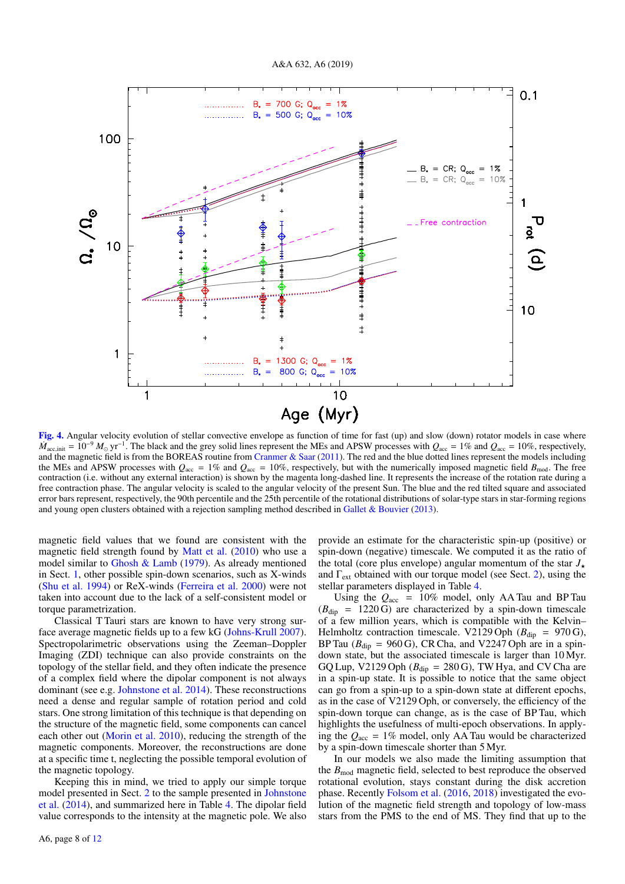

[Fig. 4.](https://dexter.edpsciences.org/applet.php?DOI=10.1051/0004-6361/201935432&pdf_id=4) Angular velocity evolution of stellar convective envelope as function of time for fast (up) and slow (down) rotator models in case where  $\dot{M}_{\text{acc,init}} = 10^{-9} M_{\odot} \text{ yr}^{-1}$ . The black and the grey solid lines represent the MEs and APSW processes with  $Q_{\text{acc}} = 1\%$  and  $Q_{\text{acc}} = 10\%$ , respectively, and the magnetic field is from the BOREAS routine from Cranmer & Saar (2011). The red and the blue dotted lines represent the models including the MEs and APSW processes with  $Q_{\text{acc}} = 1\%$  and  $Q_{\text{acc}} = 10\%$ , respectively, but with the numerically imposed magnetic field  $B_{\text{mod}}$ . The free contraction (i.e. without any external interaction) is shown by the magenta long-dashed line. It represents the increase of the rotation rate during a free contraction phase. The angular velocity is scaled to the angular velocity of the present Sun. The blue and the red tilted square and associated error bars represent, respectively, the 90th percentile and the 25th percentile of the rotational distributions of solar-type stars in star-forming regions and young open clusters obtained with a rejection sampling method described in Gallet & Bouvier (2013).

magnetic field values that we found are consistent with the magnetic field strength found by Matt et al. (2010) who use a model similar to Ghosh & Lamb (1979). As already mentioned in Sect. 1, other possible spin-down scenarios, such as X-winds (Shu et al. 1994) or ReX-winds (Ferreira et al. 2000) were not taken into account due to the lack of a self-consistent model or torque parametrization.

Classical T Tauri stars are known to have very strong surface average magnetic fields up to a few kG (Johns-Krull 2007). Spectropolarimetric observations using the Zeeman–Doppler Imaging (ZDI) technique can also provide constraints on the topology of the stellar field, and they often indicate the presence of a complex field where the dipolar component is not always dominant (see e.g. Johnstone et al. 2014). These reconstructions need a dense and regular sample of rotation period and cold stars. One strong limitation of this technique is that depending on the structure of the magnetic field, some components can cancel each other out (Morin et al. 2010), reducing the strength of the magnetic components. Moreover, the reconstructions are done at a specific time t, neglecting the possible temporal evolution of the magnetic topology.

Keeping this in mind, we tried to apply our simple torque model presented in Sect. 2 to the sample presented in Johnstone et al. (2014), and summarized here in Table 4. The dipolar field value corresponds to the intensity at the magnetic pole. We also

provide an estimate for the characteristic spin-up (positive) or spin-down (negative) timescale. We computed it as the ratio of the total (core plus envelope) angular momentum of the star  $J_{\star}$ and  $\Gamma_{ext}$  obtained with our torque model (see Sect. 2), using the stellar parameters displayed in Table 4.

Using the  $Q_{\text{acc}} = 10\%$  model, only AA Tau and BP Tau  $(B_{\text{dip}} = 1220 \text{ G})$  are characterized by a spin-down timescale of a few million years, which is compatible with the Kelvin– Helmholtz contraction timescale. V2129 Oph  $(B_{\text{dip}} = 970 \text{ G})$ , BP Tau  $(B_{\text{dip}} = 960 \text{ G})$ , CR Cha, and V2247 Oph are in a spindown state, but the associated timescale is larger than 10 Myr. GQ Lup, V2129 Oph ( $B_{\text{dip}} = 280$  G), TW Hya, and CV Cha are in a spin-up state. It is possible to notice that the same object can go from a spin-up to a spin-down state at different epochs, as in the case of V2129 Oph, or conversely, the efficiency of the spin-down torque can change, as is the case of BP Tau, which highlights the usefulness of multi-epoch observations. In applying the  $Q_{\text{acc}} = 1\%$  model, only AA Tau would be characterized by a spin-down timescale shorter than 5 Myr.

In our models we also made the limiting assumption that the  $B_{\text{mod}}$  magnetic field, selected to best reproduce the observed rotational evolution, stays constant during the disk accretion phase. Recently Folsom et al. (2016, 2018) investigated the evolution of the magnetic field strength and topology of low-mass stars from the PMS to the end of MS. They find that up to the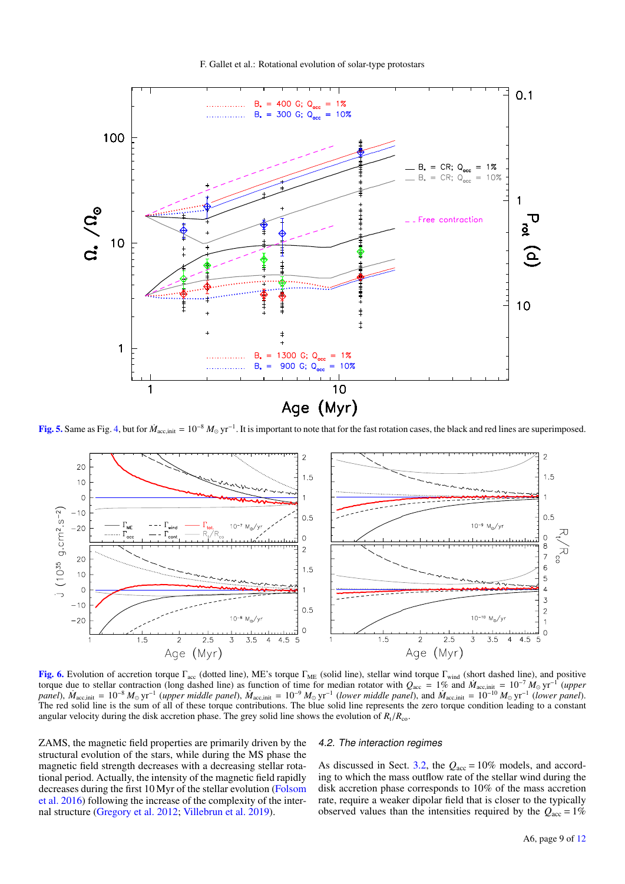F. Gallet et al.: Rotational evolution of solar-type protostars



[Fig. 5.](https://dexter.edpsciences.org/applet.php?DOI=10.1051/0004-6361/201935432&pdf_id=5) Same as Fig. 4, but for  $\dot{M}_{\text{acc,init}} = 10^{-8} M_{\odot} \text{ yr}^{-1}$ . It is important to note that for the fast rotation cases, the black and red lines are superimposed.



**[Fig. 6.](https://dexter.edpsciences.org/applet.php?DOI=10.1051/0004-6361/201935432&pdf_id=6)** Evolution of accretion torque Γ<sub>acc</sub> (dotted line), ME's torque Γ<sub>ME</sub> (solid line), stellar wind torque Γ<sub>wind</sub> (short dashed line), and positive torque due to stellar contraction (long dashed line) as function of time for median rotator with  $Q_{\text{acc}} = 1\%$  and  $\dot{M}_{\text{acc,init}} = 10^{-7} \dot{M}_{\odot} \text{yr}^{-1}$  (*upper*<br>name)  $\dot{M}_{\text{acc,init}} = 10^{-8} M_{\text{c}} \text{yr}^{-1}$  (*upper* middl  $pane$ ,  $\dot{M}_{\text{acc,init}} = 10^{-8} M_{\odot} \text{ yr}^{-1}$  (*upper middle panel*),  $\dot{M}_{\text{acc,init}} = 10^{-9} M_{\odot} \text{ yr}^{-1}$  (*lower middle panel*), and  $\dot{M}_{\text{acc,init}} = 10^{-10} M_{\odot} \text{ yr}^{-1}$  (*lower panel*). The red solid line is the sum of all The red solid line is the sum of all of these torque contributions. The blue solid line represents the zero torque condition leading to a constant angular velocity during the disk accretion phase. The grey solid line shows the evolution of  $R_t/R_{\text{co}}$ .

ZAMS, the magnetic field properties are primarily driven by the structural evolution of the stars, while during the MS phase the magnetic field strength decreases with a decreasing stellar rotational period. Actually, the intensity of the magnetic field rapidly decreases during the first 10 Myr of the stellar evolution (Folsom et al. 2016) following the increase of the complexity of the internal structure (Gregory et al. 2012; Villebrun et al. 2019).

#### 4.2. The interaction regimes

As discussed in Sect. 3.2, the  $Q_{\text{acc}} = 10\%$  models, and according to which the mass outflow rate of the stellar wind during the disk accretion phase corresponds to 10% of the mass accretion rate, require a weaker dipolar field that is closer to the typically observed values than the intensities required by the  $Q_{\text{acc}} = 1\%$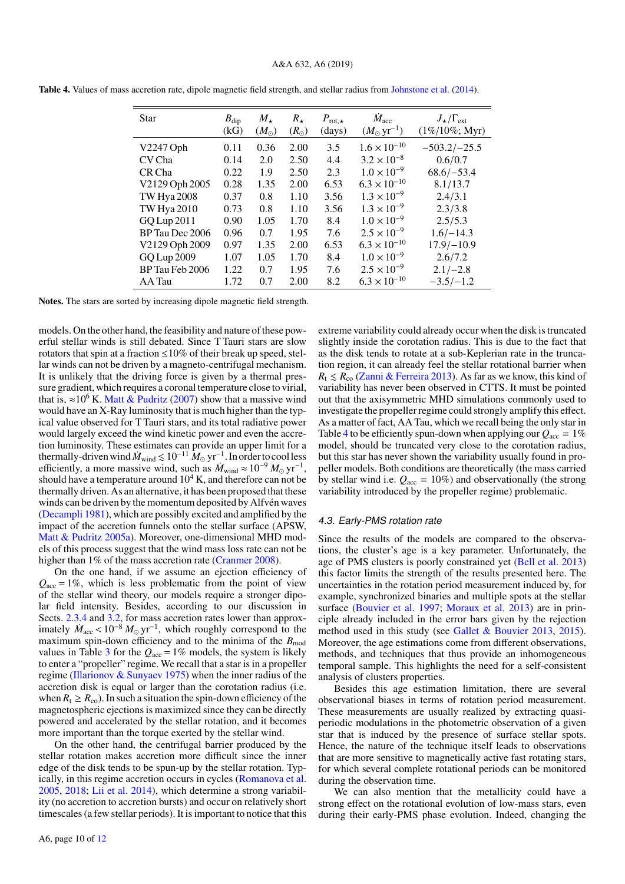| Star            | $B_{\rm dip}$<br>(kG) | $M_{\star}$<br>$(M_{\odot})$ | $R_{\star}$<br>$(R_{\odot})$ | $P_{\rm rot, \star}$<br>(days) | $M_{\rm acc}$<br>$(M_{\odot} \,\rm yr^{-1})$ | $J_{\star}/\Gamma_{\rm ext}$<br>$(1\%/10\%; Myr)$ |
|-----------------|-----------------------|------------------------------|------------------------------|--------------------------------|----------------------------------------------|---------------------------------------------------|
| $V2247$ Oph     | 0.11                  | 0.36                         | 2.00                         | 3.5                            | $1.6 \times 10^{-10}$                        | $-503.2/-25.5$                                    |
| CV Cha          | 0.14                  | 2.0                          | 2.50                         | 4.4                            | $3.2 \times 10^{-8}$                         | 0.6/0.7                                           |
| CR Cha          | 0.22                  | 1.9                          | 2.50                         | 2.3                            | $1.0 \times 10^{-9}$                         | $68.6/-53.4$                                      |
| V2129 Oph 2005  | 0.28                  | 1.35                         | 2.00                         | 6.53                           | $6.3 \times 10^{-10}$                        | 8.1/13.7                                          |
| TW Hya 2008     | 0.37                  | 0.8                          | 1.10                         | 3.56                           | $1.3 \times 10^{-9}$                         | 2.4/3.1                                           |
| TW Hya 2010     | 0.73                  | 0.8                          | 1.10                         | 3.56                           | $1.3 \times 10^{-9}$                         | 2.3/3.8                                           |
| GQLup 2011      | 0.90                  | 1.05                         | 1.70                         | 8.4                            | $1.0 \times 10^{-9}$                         | 2.5/5.3                                           |
| BP Tau Dec 2006 | 0.96                  | 0.7                          | 1.95                         | 7.6                            | $2.5 \times 10^{-9}$                         | $1.6/-14.3$                                       |
| V2129 Oph 2009  | 0.97                  | 1.35                         | 2.00                         | 6.53                           | $6.3 \times 10^{-10}$                        | $17.9/-10.9$                                      |
| GQ Lup 2009     | 1.07                  | 1.05                         | 1.70                         | 8.4                            | $1.0 \times 10^{-9}$                         | 2.6/7.2                                           |
| BP Tau Feb 2006 | 1.22                  | 0.7                          | 1.95                         | 7.6                            | $2.5 \times 10^{-9}$                         | $2.1/-2.8$                                        |
| AA Tau          | 1.72                  | 0.7                          | 2.00                         | 8.2                            | $6.3 \times 10^{-10}$                        | $-3.5/-1.2$                                       |

Table 4. Values of mass accretion rate, dipole magnetic field strength, and stellar radius from Johnstone et al. (2014).

Notes. The stars are sorted by increasing dipole magnetic field strength.

models. On the other hand, the feasibility and nature of these powerful stellar winds is still debated. Since T Tauri stars are slow rotators that spin at a fraction  $\leq 10\%$  of their break up speed, stellar winds can not be driven by a magneto-centrifugal mechanism. It is unlikely that the driving force is given by a thermal pressure gradient, which requires a coronal temperature close to virial, that is,  $\approx 10^6$  K. Matt & Pudritz (2007) show that a massive wind would have an X-Ray luminosity that is much higher than the typical value observed for T Tauri stars, and its total radiative power would largely exceed the wind kinetic power and even the accretion luminosity. These estimates can provide an upper limit for a thermally-driven wind  $\dot{M}_{\rm wind} \lesssim 10^{-11}$   $M_{\odot}$  yr<sup>-1</sup>. In order to cool less efficiently, a more massive wind, such as  $\dot{M}_{wind} \approx 10^{-9} M_{\odot} \text{ yr}^{-1}$ , should have a temperature around  $10^4$  K, and therefore can not be thermally driven. As an alternative, it has been proposed that these winds can be driven by the momentum deposited by Alfvén waves (Decampli 1981), which are possibly excited and amplified by the impact of the accretion funnels onto the stellar surface (APSW, Matt & Pudritz 2005a). Moreover, one-dimensional MHD models of this process suggest that the wind mass loss rate can not be higher than 1% of the mass accretion rate (Cranmer 2008).

On the one hand, if we assume an ejection efficiency of  $Q_{\text{acc}} = 1\%$ , which is less problematic from the point of view of the stellar wind theory, our models require a stronger dipolar field intensity. Besides, according to our discussion in Sects. 2.3.4 and 3.2, for mass accretion rates lower than approximately  $\dot{M}_{\text{acc}} < 10^{-8} M_{\odot} \text{ yr}^{-1}$ , which roughly correspond to the maximum spin-down efficiency and to the minima of the *B*<sub>nod</sub> maximum spin-down efficiency and to the minima of the  $B_{\text{mod}}$ values in Table 3 for the  $Q_{\text{acc}} = 1\%$  models, the system is likely to enter a "propeller" regime. We recall that a star is in a propeller regime (Illarionov & Sunyaev 1975) when the inner radius of the accretion disk is equal or larger than the corotation radius (i.e. when  $R_t \ge R_{\rm co}$ ). In such a situation the spin-down efficiency of the magnetospheric ejections is maximized since they can be directly powered and accelerated by the stellar rotation, and it becomes more important than the torque exerted by the stellar wind.

On the other hand, the centrifugal barrier produced by the stellar rotation makes accretion more difficult since the inner edge of the disk tends to be spun-up by the stellar rotation. Typically, in this regime accretion occurs in cycles (Romanova et al. 2005, 2018; Lii et al. 2014), which determine a strong variability (no accretion to accretion bursts) and occur on relatively short timescales (a few stellar periods). It is important to notice that this

extreme variability could already occur when the disk is truncated slightly inside the corotation radius. This is due to the fact that as the disk tends to rotate at a sub-Keplerian rate in the truncation region, it can already feel the stellar rotational barrier when  $R_t \leq R_{\rm co}$  (Zanni & Ferreira 2013). As far as we know, this kind of variability has never been observed in CTTS. It must be pointed out that the axisymmetric MHD simulations commonly used to investigate the propeller regime could strongly amplify this effect. As a matter of fact, AA Tau, which we recall being the only star in Table 4 to be efficiently spun-down when applying our  $Q_{\text{acc}} = 1\%$ model, should be truncated very close to the corotation radius, but this star has never shown the variability usually found in propeller models. Both conditions are theoretically (the mass carried by stellar wind i.e.  $Q_{\text{acc}} = 10\%$ ) and observationally (the strong variability introduced by the propeller regime) problematic.

#### 4.3. Early-PMS rotation rate

Since the results of the models are compared to the observations, the cluster's age is a key parameter. Unfortunately, the age of PMS clusters is poorly constrained yet (Bell et al. 2013) this factor limits the strength of the results presented here. The uncertainties in the rotation period measurement induced by, for example, synchronized binaries and multiple spots at the stellar surface (Bouvier et al. 1997; Moraux et al. 2013) are in principle already included in the error bars given by the rejection method used in this study (see Gallet & Bouvier 2013, 2015). Moreover, the age estimations come from different observations, methods, and techniques that thus provide an inhomogeneous temporal sample. This highlights the need for a self-consistent analysis of clusters properties.

Besides this age estimation limitation, there are several observational biases in terms of rotation period measurement. These measurements are usually realized by extracting quasiperiodic modulations in the photometric observation of a given star that is induced by the presence of surface stellar spots. Hence, the nature of the technique itself leads to observations that are more sensitive to magnetically active fast rotating stars, for which several complete rotational periods can be monitored during the observation time.

We can also mention that the metallicity could have a strong effect on the rotational evolution of low-mass stars, even during their early-PMS phase evolution. Indeed, changing the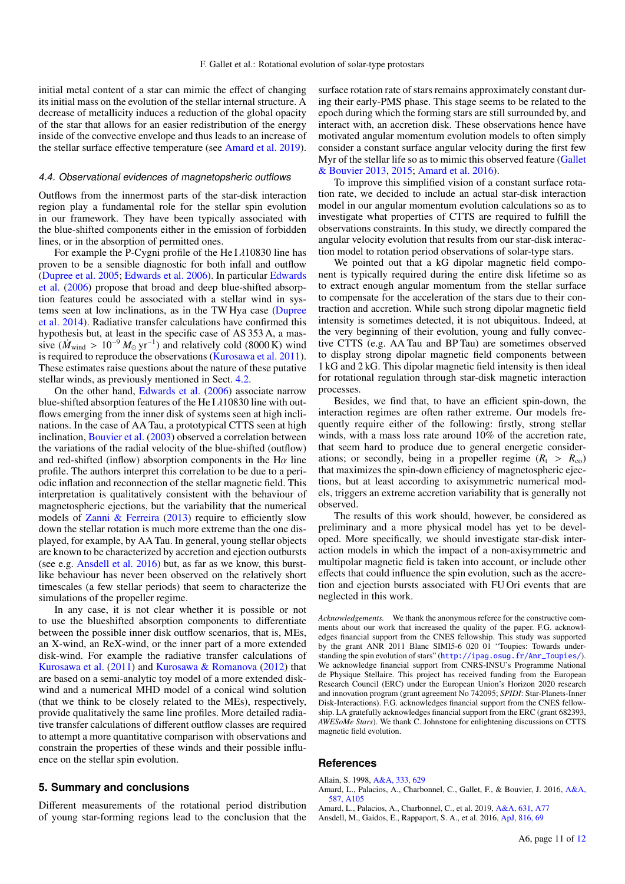initial metal content of a star can mimic the effect of changing its initial mass on the evolution of the stellar internal structure. A decrease of metallicity induces a reduction of the global opacity of the star that allows for an easier redistribution of the energy inside of the convective envelope and thus leads to an increase of the stellar surface effective temperature (see Amard et al. 2019).

#### 4.4. Observational evidences of magnetopsheric outflows

Outflows from the innermost parts of the star-disk interaction region play a fundamental role for the stellar spin evolution in our framework. They have been typically associated with the blue-shifted components either in the emission of forbidden lines, or in the absorption of permitted ones.

For example the P-Cygni profile of the He  $I\lambda$ 10830 line has proven to be a sensible diagnostic for both infall and outflow (Dupree et al. 2005; Edwards et al. 2006). In particular Edwards et al. (2006) propose that broad and deep blue-shifted absorption features could be associated with a stellar wind in systems seen at low inclinations, as in the TW Hya case (Dupree et al. 2014). Radiative transfer calculations have confirmed this hypothesis but, at least in the specific case of AS 353 A, a massive  $(\dot{M}_{wind} > 10^{-9} M_{\odot} \text{ yr}^{-1})$  and relatively cold (8000 K) wind<br>is required to reproduce the observations (Kurosawa et al. 2011) is required to reproduce the observations (Kurosawa et al. 2011). These estimates raise questions about the nature of these putative stellar winds, as previously mentioned in Sect. 4.2.

On the other hand, Edwards et al. (2006) associate narrow blue-shifted absorption features of the He I $\lambda$ 10830 line with outflows emerging from the inner disk of systems seen at high inclinations. In the case of AA Tau, a prototypical CTTS seen at high inclination, Bouvier et al. (2003) observed a correlation between the variations of the radial velocity of the blue-shifted (outflow) and red-shifted (inflow) absorption components in the  $H\alpha$  line profile. The authors interpret this correlation to be due to a periodic inflation and reconnection of the stellar magnetic field. This interpretation is qualitatively consistent with the behaviour of magnetospheric ejections, but the variability that the numerical models of Zanni & Ferreira (2013) require to efficiently slow down the stellar rotation is much more extreme than the one displayed, for example, by AA Tau. In general, young stellar objects are known to be characterized by accretion and ejection outbursts (see e.g. Ansdell et al. 2016) but, as far as we know, this burstlike behaviour has never been observed on the relatively short timescales (a few stellar periods) that seem to characterize the simulations of the propeller regime.

In any case, it is not clear whether it is possible or not to use the blueshifted absorption components to differentiate between the possible inner disk outflow scenarios, that is, MEs, an X-wind, an ReX-wind, or the inner part of a more extended disk-wind. For example the radiative transfer calculations of Kurosawa et al. (2011) and Kurosawa & Romanova (2012) that are based on a semi-analytic toy model of a more extended diskwind and a numerical MHD model of a conical wind solution (that we think to be closely related to the MEs), respectively, provide qualitatively the same line profiles. More detailed radiative transfer calculations of different outflow classes are required to attempt a more quantitative comparison with observations and constrain the properties of these winds and their possible influence on the stellar spin evolution.

# **5. Summary and conclusions**

Different measurements of the rotational period distribution of young star-forming regions lead to the conclusion that the surface rotation rate of stars remains approximately constant during their early-PMS phase. This stage seems to be related to the epoch during which the forming stars are still surrounded by, and interact with, an accretion disk. These observations hence have motivated angular momentum evolution models to often simply consider a constant surface angular velocity during the first few Myr of the stellar life so as to mimic this observed feature (Gallet & Bouvier 2013, 2015; Amard et al. 2016).

To improve this simplified vision of a constant surface rotation rate, we decided to include an actual star-disk interaction model in our angular momentum evolution calculations so as to investigate what properties of CTTS are required to fulfill the observations constraints. In this study, we directly compared the angular velocity evolution that results from our star-disk interaction model to rotation period observations of solar-type stars.

We pointed out that a kG dipolar magnetic field component is typically required during the entire disk lifetime so as to extract enough angular momentum from the stellar surface to compensate for the acceleration of the stars due to their contraction and accretion. While such strong dipolar magnetic field intensity is sometimes detected, it is not ubiquitous. Indeed, at the very beginning of their evolution, young and fully convective CTTS (e.g. AA Tau and BP Tau) are sometimes observed to display strong dipolar magnetic field components between 1 kG and 2 kG. This dipolar magnetic field intensity is then ideal for rotational regulation through star-disk magnetic interaction processes.

Besides, we find that, to have an efficient spin-down, the interaction regimes are often rather extreme. Our models frequently require either of the following: firstly, strong stellar winds, with a mass loss rate around 10% of the accretion rate, that seem hard to produce due to general energetic considerations; or secondly, being in a propeller regime  $(R_t > R_{co})$ that maximizes the spin-down efficiency of magnetospheric ejections, but at least according to axisymmetric numerical models, triggers an extreme accretion variability that is generally not observed.

The results of this work should, however, be considered as preliminary and a more physical model has yet to be developed. More specifically, we should investigate star-disk interaction models in which the impact of a non-axisymmetric and multipolar magnetic field is taken into account, or include other effects that could influence the spin evolution, such as the accretion and ejection bursts associated with FU Ori events that are neglected in this work.

*Acknowledgements.* We thank the anonymous referee for the constructive comments about our work that increased the quality of the paper. F.G. acknowledges financial support from the CNES fellowship. This study was supported by the grant ANR 2011 Blanc SIMI5-6 020 01 "Toupies: Towards understanding the spin evolution of stars" ([http://ipag.osug.fr/Anr\\_Toupies/](http://ipag.osug.fr/Anr_Toupies/)). We acknowledge financial support from CNRS-INSU's Programme National de Physique Stellaire. This project has received funding from the European Research Council (ERC) under the European Union's Horizon 2020 research and innovation program (grant agreement No 742095; *SPIDI*: Star-Planets-Inner Disk-Interactions). F.G. acknowledges financial support from the CNES fellowship. LA gratefully acknowledges financial support from the ERC (grant 682393, *AWESoMe Stars*). We thank C. Johnstone for enlightening discussions on CTTS magnetic field evolution.

# **References**

Allain, S. 1998, [A&A, 333, 629](http://linker.aanda.org/10.1051/0004-6361/201935432/1)

- Amard, L., Palacios, A., Charbonnel, C., Gallet, F., & Bouvier, J. 2016, [A&A,](http://linker.aanda.org/10.1051/0004-6361/201935432/2) [587, A105](http://linker.aanda.org/10.1051/0004-6361/201935432/2)
- Amard, L., Palacios, A., Charbonnel, C., et al. 2019, [A&A, 631, A77](http://linker.aanda.org/10.1051/0004-6361/201935432/3) Ansdell, M., Gaidos, E., Rappaport, S. A., et al. 2016, [ApJ, 816, 69](http://linker.aanda.org/10.1051/0004-6361/201935432/4)